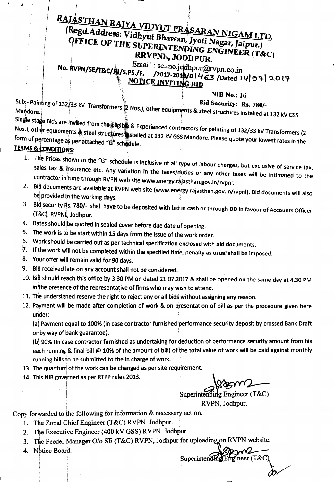## RAJASTHAN RAJYA VIDYUT PRASARAN NIGAM LTD. (Regd.Address: Vidhyut Bhawan, Jyoti Nagar, Jaipur.)

### OFFICE OF THE SUPERINTENDING ENGINEER (T&C) RRVPNL, JODHPUR.

Email: se.tnc.jodhpur@rvpn.co.in No. RVPN/SE/T&C/LV/S.PS./F. /2017-2018/D1463/Dated 14/07/2017 **NOTICE INVITING BID** 

#### **NIB No.: 16**

Subi-Painting of 132/33 kV Transformers (2 Nos.), other equipments & steel structures installed at 132 kV GSS

Single stage Bids are invited from the Eligib & Experienced contractors for painting of 132/33 kV Transformers (2 Nos.), other equipments & steel structures stalled at 132 kV GSS Mandore. Please quote your lowest rates in the form of percentage as per attached "G" schedule.

#### **TERMS & CONDITIONS:**

- 1. The Prices shown in the "G" schedule is inclusive of all type of labour charges, but exclusive of service tax, sales tax & insurance etc. Any variation in the taxes/duties or any other taxes will be intimated to the contractor in time through RVPN web site www.energy.rajasthan.gov.in/rvpnl.
- 2. Bid documents are available at RVPN web site (www.energy.rajasthan.gov.in/rvpnl). Bid documents will also be provided in the working days.
- 3. Bid security Rs. 780/- shall have to be deposited with bid in cash or through DD in favour of Accounts Officer (T&C), RVPNL, Jodhpur.
- 4. Rates should be quoted in sealed cover before due date of opening.
- 5. The work is to be start within 15 days from the issue of the work order.
- 6. Work should be carried out as per technical specification enclosed with bid documents.
- $7.$  If the work will not be completed within the specified time, penalty as usual shall be imposed.
- 8. Your offer will remain valid for 90 days.
- 9. Bid received late on any account shall not be considered.
- 10. Bid should reach this office by 3.30 PM on dated 21.07.2017 & shall be opened on the same day at 4.30 PM in the presence of the representative of firms who may wish to attend.
- 11. The undersigned reserve the right to reject any or all bids without assigning any reason.
- 12. Payment will be made after completion of work & on presentation of bill as per the procedure given here under:-

(a) Payment equal to 100% (in case contractor furnished performance security deposit by crossed Bank Draft or by way of bank guarantee).

(b) 90% (In case contractor furnished as undertaking for deduction of performance security amount from his each running & final bill @ 10% of the amount of bill) of the total value of work will be paid against monthly ruhning bills to be submitted to the in charge of work.

- 13. The quantum of the work can be changed as per site requirement.
- 14. This NIB governed as per RTPP rules 2013.

Superintending Engineer  $(T\&C)$ RVPN. Jodhpur.

Superintending Engineer  $(T&C)$ 

Copy forwarded to the following for information & necessary action.

- 1. The Zonal Chief Engineer (T&C) RVPN, Jodhpur.
- 2. The Executive Engineer (400 kV GSS) RVPN, Jodhpur.
- 3. The Feeder Manager O/o SE (T&C) RVPN, Jodhpur for uploading on RVPN website.
- 4. Notice Board.